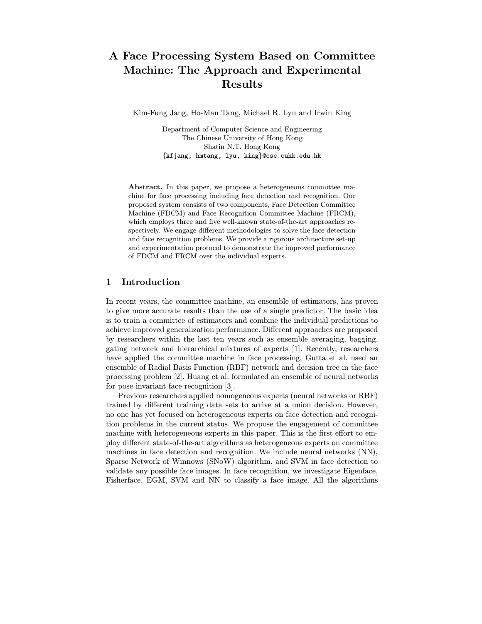# A Face Processing System Based on Committee Machine: The Approach and Experimental Results

Kim-Fung Jang, Ho-Man Tang, Michael R. Lyu and Irwin King

Department of Computer Science and Engineering The Chinese University of Hong Kong Shatin N.T. Hong Kong {kfjang, hmtang, lyu, king}@cse.cuhk.edu.hk

Abstract. In this paper, we propose a heterogeneous committee machine for face processing including face detection and recognition. Our proposed system consists of two components, Face Detection Committee Machine (FDCM) and Face Recognition Committee Machine (FRCM), which employs three and five well-known state-of-the-art approaches respectively. We engage different methodologies to solve the face detection and face recognition problems. We provide a rigorous architecture set-up and experimentation protocol to demonstrate the improved performance of FDCM and FRCM over the individual experts.

# 1 Introduction

In recent years, the committee machine, an ensemble of estimators, has proven to give more accurate results than the use of a single predictor. The basic idea is to train a committee of estimators and combine the individual predictions to achieve improved generalization performance. Different approaches are proposed by researchers within the last ten years such as ensemble averaging, bagging, gating network and hierarchical mixtures of experts [1]. Recently, researchers have applied the committee machine in face processing, Gutta et al. used an ensemble of Radial Basis Function (RBF) network and decision tree in the face processing problem [2]. Huang et al. formulated an ensemble of neural networks for pose invariant face recognition [3].

Previous researchers applied homogeneous experts (neural networks or RBF) trained by different training data sets to arrive at a union decision. However, no one has yet focused on heterogeneous experts on face detection and recognition problems in the current status. We propose the engagement of committee machine with heterogeneous experts in this paper. This is the first effort to employ different state-of-the-art algorithms as heterogeneous experts on committee machines in face detection and recognition. We include neural networks (NN), Sparse Network of Winnows (SNoW) algorithm, and SVM in face detection to validate any possible face images. In face recognition, we investigate Eigenface, Fisherface, EGM, SVM and NN to classify a face image. All the algorithms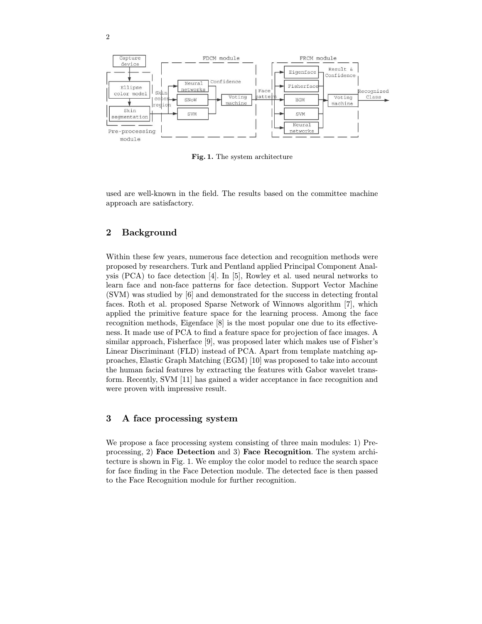



Fig. 1. The system architecture

used are well-known in the field. The results based on the committee machine approach are satisfactory.

# 2 Background

Within these few years, numerous face detection and recognition methods were proposed by researchers. Turk and Pentland applied Principal Component Analysis (PCA) to face detection [4]. In [5], Rowley et al. used neural networks to learn face and non-face patterns for face detection. Support Vector Machine (SVM) was studied by [6] and demonstrated for the success in detecting frontal faces. Roth et al. proposed Sparse Network of Winnows algorithm [7], which applied the primitive feature space for the learning process. Among the face recognition methods, Eigenface [8] is the most popular one due to its effectiveness. It made use of PCA to find a feature space for projection of face images. A similar approach, Fisherface [9], was proposed later which makes use of Fisher's Linear Discriminant (FLD) instead of PCA. Apart from template matching approaches, Elastic Graph Matching (EGM) [10] was proposed to take into account the human facial features by extracting the features with Gabor wavelet transform. Recently, SVM [11] has gained a wider acceptance in face recognition and were proven with impressive result.

# 3 A face processing system

We propose a face processing system consisting of three main modules: 1) Preprocessing, 2) Face Detection and 3) Face Recognition. The system architecture is shown in Fig. 1. We employ the color model to reduce the search space for face finding in the Face Detection module. The detected face is then passed to the Face Recognition module for further recognition.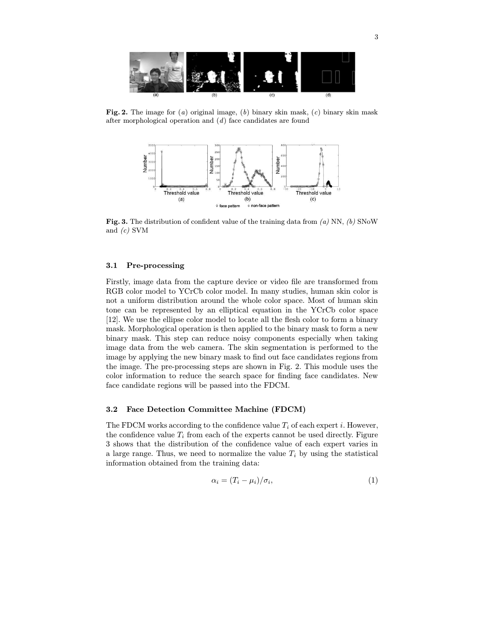

Fig. 2. The image for  $(a)$  original image,  $(b)$  binary skin mask,  $(c)$  binary skin mask after morphological operation and (d) face candidates are found



Fig. 3. The distribution of confident value of the training data from  $(a)$  NN,  $(b)$  SNoW and (c) SVM

## 3.1 Pre-processing

Firstly, image data from the capture device or video file are transformed from RGB color model to YCrCb color model. In many studies, human skin color is not a uniform distribution around the whole color space. Most of human skin tone can be represented by an elliptical equation in the YCrCb color space [12]. We use the ellipse color model to locate all the flesh color to form a binary mask. Morphological operation is then applied to the binary mask to form a new binary mask. This step can reduce noisy components especially when taking image data from the web camera. The skin segmentation is performed to the image by applying the new binary mask to find out face candidates regions from the image. The pre-processing steps are shown in Fig. 2. This module uses the color information to reduce the search space for finding face candidates. New face candidate regions will be passed into the FDCM.

## 3.2 Face Detection Committee Machine (FDCM)

The FDCM works according to the confidence value  $T_i$  of each expert i. However, the confidence value  $T_i$  from each of the experts cannot be used directly. Figure 3 shows that the distribution of the confidence value of each expert varies in a large range. Thus, we need to normalize the value  $T_i$  by using the statistical information obtained from the training data:

$$
\alpha_i = (T_i - \mu_i) / \sigma_i, \tag{1}
$$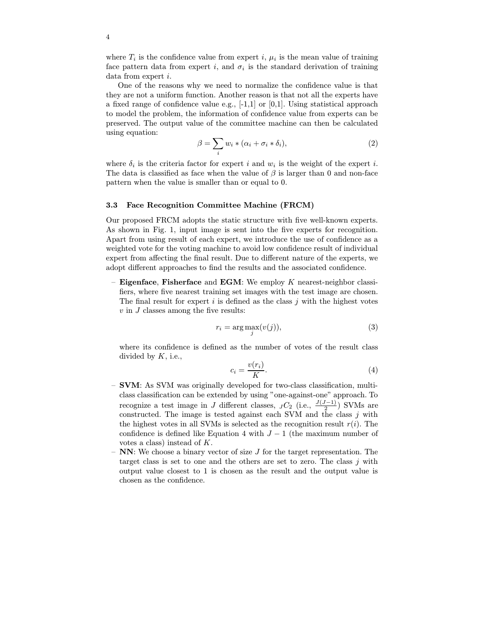where  $T_i$  is the confidence value from expert i,  $\mu_i$  is the mean value of training face pattern data from expert i, and  $\sigma_i$  is the standard derivation of training data from expert i.

One of the reasons why we need to normalize the confidence value is that they are not a uniform function. Another reason is that not all the experts have a fixed range of confidence value e.g., [-1,1] or [0,1]. Using statistical approach to model the problem, the information of confidence value from experts can be preserved. The output value of the committee machine can then be calculated using equation:

$$
\beta = \sum_{i} w_i * (\alpha_i + \sigma_i * \delta_i), \tag{2}
$$

where  $\delta_i$  is the criteria factor for expert i and  $w_i$  is the weight of the expert i. The data is classified as face when the value of  $\beta$  is larger than 0 and non-face pattern when the value is smaller than or equal to 0.

#### 3.3 Face Recognition Committee Machine (FRCM)

Our proposed FRCM adopts the static structure with five well-known experts. As shown in Fig. 1, input image is sent into the five experts for recognition. Apart from using result of each expert, we introduce the use of confidence as a weighted vote for the voting machine to avoid low confidence result of individual expert from affecting the final result. Due to different nature of the experts, we adopt different approaches to find the results and the associated confidence.

– Eigenface, Fisherface and EGM: We employ  $K$  nearest-neighbor classifiers, where five nearest training set images with the test image are chosen. The final result for expert i is defined as the class j with the highest votes  $v$  in  $J$  classes among the five results:

$$
r_i = \arg \max_j (v(j)), \tag{3}
$$

where its confidence is defined as the number of votes of the result class divided by  $K$ , i.e.,

$$
c_i = \frac{v(r_i)}{K}.\tag{4}
$$

- SVM: As SVM was originally developed for two-class classification, multiclass classification can be extended by using "one-against-one" approach. To recognize a test image in J different classes,  $JC_2$  (i.e.,  $\frac{J(J-1)}{2}$ ) SVMs are constructed. The image is tested against each SVM and the class  $j$  with the highest votes in all SVMs is selected as the recognition result  $r(i)$ . The confidence is defined like Equation 4 with  $J-1$  (the maximum number of votes a class) instead of K.
- $-$  NN: We choose a binary vector of size  $J$  for the target representation. The target class is set to one and the others are set to zero. The class  $j$  with output value closest to 1 is chosen as the result and the output value is chosen as the confidence.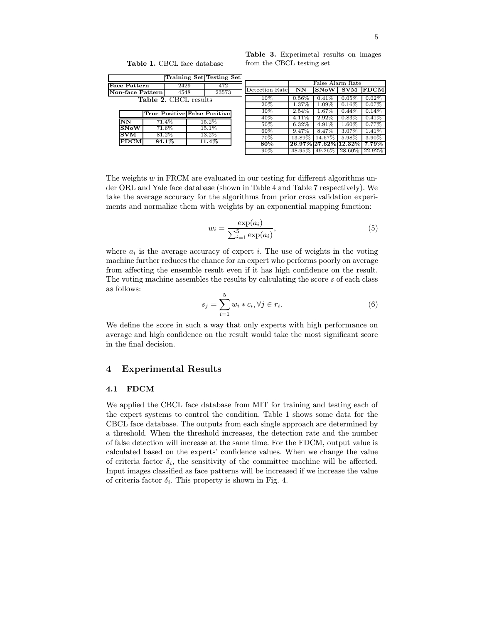|               |                     |  |                       |  | Training Set Testing Set     |  |                |  |
|---------------|---------------------|--|-----------------------|--|------------------------------|--|----------------|--|
|               | Face Pattern        |  | 2429                  |  | 472                          |  |                |  |
|               | Non-face Pattern    |  | 4548                  |  | 23573                        |  | Detection Rate |  |
|               |                     |  | Table 2. CBCL results |  |                              |  | 10%            |  |
|               |                     |  |                       |  |                              |  | 20%            |  |
|               |                     |  |                       |  | True Positive False Positive |  | 30%            |  |
|               | $\overline{\rm NN}$ |  | 71.4%                 |  | $15.2\%$                     |  | 40%            |  |
| 71.6%<br>SNow |                     |  |                       |  |                              |  | 50%            |  |
|               |                     |  |                       |  | 15.1%                        |  | 60%            |  |
|               | SVM                 |  | 81.2%                 |  | $13.2\%$                     |  | 70%            |  |
|               | FDCM                |  | $84.1\%$              |  | $11.4\%$                     |  | ጸበ%            |  |

Table 1. CBCL face database

|  | <b>Table 3.</b> Experimetal results on images |  |  |
|--|-----------------------------------------------|--|--|
|  | from the CBCL testing set                     |  |  |

|                | False Alarm Rate       |                      |                           |          |  |  |  |
|----------------|------------------------|----------------------|---------------------------|----------|--|--|--|
| Detection Rate | $\overline{\text{NN}}$ | $S_{\rm No}W$        | $\overline{\mathrm{SVM}}$ | FDCM     |  |  |  |
| 10%            | $0.56\%$               | 0.41%                | 0.05%                     | $0.02\%$ |  |  |  |
| $20\%$         | 1.37%                  | $1.09\%$             | $0.16\%$                  | $0.07\%$ |  |  |  |
| $30\%$         | 2.54%                  | 1.67%                | 0.44%                     | $0.14\%$ |  |  |  |
| 40%            | 4.11%                  | 2.92%                | 0.83%                     | 0.41%    |  |  |  |
| $50\%$         | $6.32\%$               | 4.91%                | 1.60%                     | $0.77\%$ |  |  |  |
| $60\%$         | 9.47%                  | $8.47\%$             | 3.07%                     | 1.41%    |  |  |  |
| 70%            | 13.89%                 | 14.67%               | 5.98%                     | $3.90\%$ |  |  |  |
| 80%            |                        | 26.97% 27.62% 12.32% |                           | $7.79\%$ |  |  |  |
| 90%            |                        | 48.95% 49.26% 28.60% |                           | 22.92%   |  |  |  |

The weights  $w$  in FRCM are evaluated in our testing for different algorithms under ORL and Yale face database (shown in Table 4 and Table 7 respectively). We take the average accuracy for the algorithms from prior cross validation experiments and normalize them with weights by an exponential mapping function:

$$
w_i = \frac{\exp(a_i)}{\sum_{i=1}^5 \exp(a_i)},\tag{5}
$$

where  $a_i$  is the average accuracy of expert i. The use of weights in the voting machine further reduces the chance for an expert who performs poorly on average from affecting the ensemble result even if it has high confidence on the result. The voting machine assembles the results by calculating the score s of each class as follows:

$$
s_j = \sum_{i=1}^5 w_i * c_i, \forall j \in r_i.
$$
 (6)

We define the score in such a way that only experts with high performance on average and high confidence on the result would take the most significant score in the final decision.

## 4 Experimental Results

## 4.1 FDCM

We applied the CBCL face database from MIT for training and testing each of the expert systems to control the condition. Table 1 shows some data for the CBCL face database. The outputs from each single approach are determined by a threshold. When the threshold increases, the detection rate and the number of false detection will increase at the same time. For the FDCM, output value is calculated based on the experts' confidence values. When we change the value of criteria factor  $\delta_i$ , the sensitivity of the committee machine will be affected. Input images classified as face patterns will be increased if we increase the value of criteria factor  $\delta_i$ . This property is shown in Fig. 4.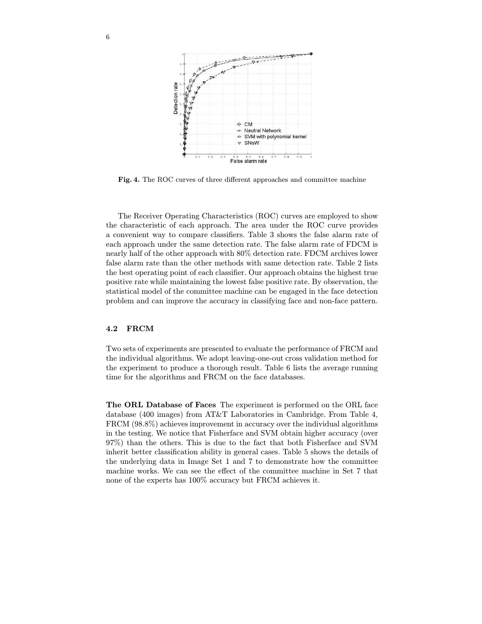

Fig. 4. The ROC curves of three different approaches and committee machine

The Receiver Operating Characteristics (ROC) curves are employed to show the characteristic of each approach. The area under the ROC curve provides a convenient way to compare classifiers. Table 3 shows the false alarm rate of each approach under the same detection rate. The false alarm rate of FDCM is nearly half of the other approach with 80% detection rate. FDCM archives lower false alarm rate than the other methods with same detection rate. Table 2 lists the best operating point of each classifier. Our approach obtains the highest true positive rate while maintaining the lowest false positive rate. By observation, the statistical model of the committee machine can be engaged in the face detection problem and can improve the accuracy in classifying face and non-face pattern.

## 4.2 FRCM

Two sets of experiments are presented to evaluate the performance of FRCM and the individual algorithms. We adopt leaving-one-out cross validation method for the experiment to produce a thorough result. Table 6 lists the average running time for the algorithms and FRCM on the face databases.

The ORL Database of Faces The experiment is performed on the ORL face database (400 images) from AT&T Laboratories in Cambridge. From Table 4, FRCM (98.8%) achieves improvement in accuracy over the individual algorithms in the testing. We notice that Fisherface and SVM obtain higher accuracy (over 97%) than the others. This is due to the fact that both Fisherface and SVM inherit better classification ability in general cases. Table 5 shows the details of the underlying data in Image Set 1 and 7 to demonstrate how the committee machine works. We can see the effect of the committee machine in Set 7 that none of the experts has 100% accuracy but FRCM achieves it.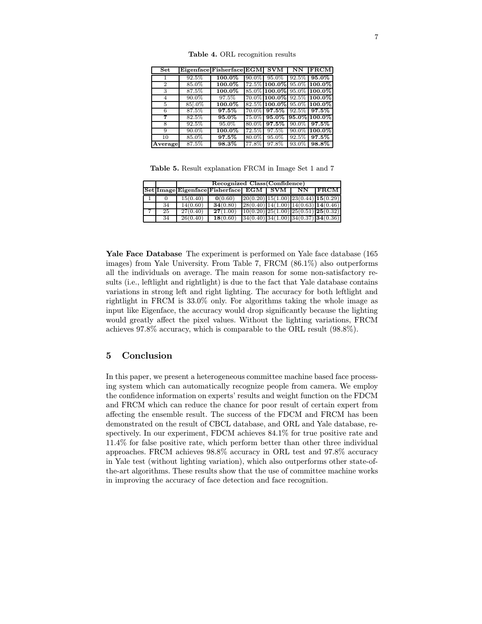| Set            |          | Eigenface Fisherface EGM |          | $\mathbf{SVM}$               | NN       | <b>FRCM</b>        |
|----------------|----------|--------------------------|----------|------------------------------|----------|--------------------|
|                | 92.5%    | $100.0\%$                | $90.0\%$ | 95.0%                        | 92.5%    | $95.0\%$           |
| $\overline{2}$ | 85.0%    | $100.0\%$                |          | 72.5% 100.0% 95.0% 100.0%    |          |                    |
| 3              | 87.5%    | $100.0\%$                |          | 85.0% 100.0% 95.0% 100.0%    |          |                    |
| $\overline{4}$ | $90.0\%$ | 97.5%                    |          | 70.0% 100.0% 92.5% 100.0%    |          |                    |
| 5              | 85 . 0%  | $100.0\%$                |          | $82.5\%$ 100.0% 95.0% 100.0% |          |                    |
| 6              | 87.5%    | $97.5\%$                 |          | $70.0\%$ 97.5%               | $92.5\%$ | $97.5\%$           |
| 7              | 82.5%    | 95.0%                    | 75.0%    |                              |          | 95.0% 95.0% 100.0% |
| 8              | 92.5%    | 95.0%                    | 80.0%    | $97.5\%$                     | $90.0\%$ | $97.5\%$           |
| 9              | $90.0\%$ | 100.0%                   | 72.5%    | 97.5%                        | $90.0\%$ | $100.0\%$          |
| 10             | 85.0%    | 97.5%                    | 80.0%    | 95.0%                        | 92.5%    | 97.5%              |
| Average        | 87.5%    | 98.3%                    | 77.8%    | 97.8%                        | 93.0%    | 98.8%              |

Table 4. ORL recognition results

Table 5. Result explanation FRCM in Image Set 1 and 7

|    |          | Recognized Class (Confidence)      |  |     |    |                                               |  |  |  |  |
|----|----------|------------------------------------|--|-----|----|-----------------------------------------------|--|--|--|--|
|    |          | Set Image Eigenface Fisherface EGM |  | SVM | NN | <b>FRCM</b>                                   |  |  |  |  |
|    | 15(0.40) | Q(0.60)                            |  |     |    | $20(0.20)$ $15(1.00)$ $23(0.44)$ $15(0.29)$   |  |  |  |  |
| 34 | 14(0.60) | 34(0.80)                           |  |     |    | $[28(0.40)   14(1.00)   14(0.63)   14(0.46)]$ |  |  |  |  |
| 25 | 27(0.40) | 27(1.00)                           |  |     |    | [10(0.20) 25(1.00) 25(0.51) 25(0.32)]         |  |  |  |  |
| 34 | 26(0.40) | 18(0.60)                           |  |     |    | $34(0.40)$ $34(1.00)$ $34(0.37)$ $34(0.36)$   |  |  |  |  |

Yale Face Database The experiment is performed on Yale face database (165) images) from Yale University. From Table 7, FRCM (86.1%) also outperforms all the individuals on average. The main reason for some non-satisfactory results (i.e., leftlight and rightlight) is due to the fact that Yale database contains variations in strong left and right lighting. The accuracy for both leftlight and rightlight in FRCM is 33.0% only. For algorithms taking the whole image as input like Eigenface, the accuracy would drop significantly because the lighting would greatly affect the pixel values. Without the lighting variations, FRCM achieves 97.8% accuracy, which is comparable to the ORL result (98.8%).

## 5 Conclusion

In this paper, we present a heterogeneous committee machine based face processing system which can automatically recognize people from camera. We employ the confidence information on experts' results and weight function on the FDCM and FRCM which can reduce the chance for poor result of certain expert from affecting the ensemble result. The success of the FDCM and FRCM has been demonstrated on the result of CBCL database, and ORL and Yale database, respectively. In our experiment, FDCM achieves 84.1% for true positive rate and 11.4% for false positive rate, which perform better than other three individual approaches. FRCM achieves 98.8% accuracy in ORL test and 97.8% accuracy in Yale test (without lighting variation), which also outperforms other state-ofthe-art algorithms. These results show that the use of committee machine works in improving the accuracy of face detection and face recognition.